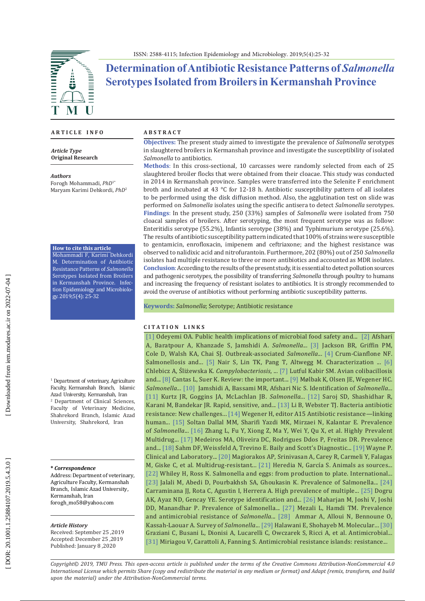

# **Determination of Antibiotic Resistance Patterns of** *Salmonella* **Serotypes Isolated from Broilers in Kermanshah Province**

## **A R T I C L E I N F O**

*Article Type* **Original Research**

*Authors* Forogh Mohammadi, *PhD*1\* Maryam Karimi Dehkordi, *PhD* 2

#### **How to cite this article**

Mohammadi F, Karimi Dehkordi M. Determination of Antibiotic Resistance Patterns of *Salmonella* Serotypes Isolated from Broilers in Kermanshah Province. Infec tion Epidemiology and Microbiolo gy. 2019;5(4): 25-32

1 Department of veterinary, Agriculture Faculty, Kermanshah Branch, Islamic Azad University, Kermanshah, Iran 2 Department of Clinical Sciences, Faculty of Veterinary Medicine, Shahrekord Branch, Islamic Azad University, Shahrekord, Iran

#### **\*** *Correspondence*

Address: Department of veterinary, Agriculture Faculty, Kermanshah Branch, Islamic Azad University, Kermanshah, Iran forogh\_mo58@yahoo.com

#### *Article History*

Received: September 25 ,2019 Accepted: December 25 ,2019 Published: January 8 ,2020

### **A B S T R A C T**

**Objectives:** The present study aimed to investigate the prevalence of *Salmonella* serotypes in slaughtered broilers in Kermanshah province and investigate the susceptibility of isolated *Salmonella* to antibiotics.

**Methods** : In this cross-sectional, 10 carcasses were randomly selected from each of 25 slaughtered broiler flocks that were obtained from their cloacae. This study was conducted in 2014 in Kermanshah province. Samples were transferred into the Selenite F enrichment broth and incubated at 43 °C for 12-18 h. Antibiotic susceptibility pattern of all isolates to be performed using the disk diffusion method . Also, the agglutination test on slide was performed on *Salmonella* isolates using the specific antisera to detect *Salmonella* serotypes. **Findings** : In the present study, 250 (33%) samples of *Salmonella* were isolated from 750 cloacal samples of broilers. After serotyping, the most frequent serotype was as follow: Enteritidis serotype (55.2%), Infantis serotype (38%) and Typhimurium serotype (25.6%). The results of antibiotic susceptibility pattern indicated that 100% of strains were susceptible to gentamicin, enrofloxacin, imipenem and ceftriaxone; and the highest resistance was observed to nalidixic acid and nitrofurantoin. Furthermore, 202 (80%) out of 250 *Salmonella* isolates had multiple resistance to three or more antibiotics and accounted as MDR isolates. **Conclusion** : According to the results of the present study, it is essential to detect pollution sources and pathogenic serotypes, the possibility of transferring *Salmonella* through poultry to humans and increasing the frequency of resistant isolates to antibiotics. It is strongly recommended to avoid the overuse of antibiotics without performing antibiotic susceptibility patterns.

**Keywords:** *Salmonella*; Serotype; Antibiotic resistance

## **C I T A T I O N L I N K S**

[\[1\]](https://www.ncbi.nlm.nih.gov/pmc/articles/PMC5103665/) Odeyemi OA. Public health implications of microbial food safety and... [\[2\]](https://www.ncbi.nlm.nih.gov/pubmed/29922418) Afshari A, Baratpour A, Khanzade S, Jamshidi A. *Salmonella*... [\[3\]](https://www.ncbi.nlm.nih.gov/pubmed/23876503) Jackson BR, Griffin PM, Cole D, Walsh KA, Chai SJ. Outbreak-associated *Salmonella*... [\[4\]](https://www.ncbi.nlm.nih.gov/pubmed/18627657) Crum-Cianflone NF. Salmonellosis and... [\[5\]](https://www.ncbi.nlm.nih.gov/pubmed/12089246) Nair S, Lin TK, Pang T, Altwegg M. Characterization ... [6] Chlebicz A, Śliżewska K. *Campylobacteriosis*, ... [\[7\]](https://www.ncbi.nlm.nih.gov/pmc/articles/PMC2819778/) Lutful Kabir SM. Avian colibacillosis and... [\[8\]](https://www.ncbi.nlm.nih.gov/pubmed/25353010) Cantas L, Suer K. Review: the important... [\[9\]](https://ifsv.ku.dk/ansatte/?pure=en%2Fpublications%2Fsalmonella-infections\(3684d290-a1c0-11dd-b6ae-000ea68e967b\)%2Fexport.html) Mølbak K, Olsen JE, Wegener HC. *Salmonella*... [\[10\]](https://journal.ut.ac.ir/article_19608_9460ec87a65d9ff9a03ffc0e6c1a59c8.pdf) Jamshidi A, Bassami MR, Afshari Nic S. Identification of *Salmonella*... [\[11\]](https://www.ncbi.nlm.nih.gov/pubmed/28720334) Kurtz JR, Goggins JA, McLachlan JB. *Salmonella*... [\[12\]](https://www.ncbi.nlm.nih.gov/pubmed/18406104) Saroj SD, Shashidhar R, Karani M, Bandekar JR. Rapid, sensitive, and... [\[13\]](https://www.ncbi.nlm.nih.gov/pubmed/28722231) Li B, Webster TJ. Bacteria antibiotic resistance: New challenges... [\[14\]](https://www.ncbi.nlm.nih.gov/books/NBK114485/) Wegener H, editor A15 Antibiotic resistance—linking human... [\[15\]](https://www.ncbi.nlm.nih.gov/pubmed/25147699) Soltan Dallal MM, Sharifi Yazdi MK, Mirzaei N, Kalantar E. Prevalence of *Salmonella*... [\[16\]](https://www.ncbi.nlm.nih.gov/pubmed/30258419) Zhang L, Fu Y, Xiong Z, Ma Y, Wei Y, Qu X, et al. Highly Prevalent Multidrug... [\[17\]](https://www.ncbi.nlm.nih.gov/pubmed/22358402) Medeiros MA, Oliveira DC, Rodrigues Ddos P, Freitas DR. Prevalence and... [\[18\]](https://trove.nla.gov.au/work/9830364) Sahm DF, Weissfeld A, Trevino E. Baily and Scott's Diagnostic... [\[19\]](https://clsi.org/media/1469/m100s27_sample.pdf) Wayne P. Clinical and Laboratory... [\[20\]](https://www.ncbi.nlm.nih.gov/pubmed/21793988) Magiorakos AP, Srinivasan A, Carey R, Carmeli Y, Falagas M, Giske C, et al. Multidrug-resistant... [\[21\]](https://www.ncbi.nlm.nih.gov/pmc/articles/PMC6116329/) Heredia N, García S. Animals as sources... [\[22\]](https://www.ncbi.nlm.nih.gov/pubmed/25730295) Whiley H, Ross K. Salmonella and eggs: from production to plate. International... [\[23\]](https://onlinelibrary.wiley.com/doi/abs/10.1111/j.1745-4565.2008.00122.x) Jalali M, Abedi D, Pourbakhsh SA, Ghoukasin K. Prevalence of Salmonella... [\[24\]](https://www.ncbi.nlm.nih.gov/pubmed/15530748) Carraminana JJ, Rota C, Agustin I, Herrera A. High prevalence of multiple... [\[25\]](https://www.ncbi.nlm.nih.gov/pubmed/19946796) Dogru AK, Ayaz ND, Gencay YE. Serotype identification and... [\[26\] M](https://www.ncbi.nlm.nih.gov/pubmed/17135520)aharjan M, Joshi V, Joshi DD, Manandhar P. Prevalence of Salmonella... [\[27\]](https://www.ncbi.nlm.nih.gov/pubmed/22571639) Mezali L, Hamdi TM. Prevalence and antimicrobial resistance of *Salmonella*... [\[28\]](https://www.researchgate.net/publication/41825720_Survey_of_Salmonella_serovars_in_broilers_and_laying_breeding_reproducers_in_East_of_Algeria) Ammar A, Alloui N, Bennoune O, Kassah-Laouar A. Survey of *Salmonella*... [\[29\]](https://www.idosi.org/wjms/3\(2\)08/4.pdf) Halawani E, Shohayeb M. Molecular... [\[30\]](https://www.ncbi.nlm.nih.gov/pubmed/18054179) Graziani C, Busani L, Dionisi A, Lucarelli C, Owczarek S, Ricci A, et al. Antimicrobial... [\[31\] M](https://www.ncbi.nlm.nih.gov/pubmed/16716633)iriagou V, Carattoli A, Fanning S. Antimicrobial resistance islands: resistance...

*Copyright© 2019, TMU Press. This open-access article is published under the terms of the Creative Commons Attribution-NonCommercial 4.0 International License which permits Share (copy and redistribute the material in any medium or format) and Adapt (remix, transform, and build upon the material) under the Attribution-NonCommercial terms.*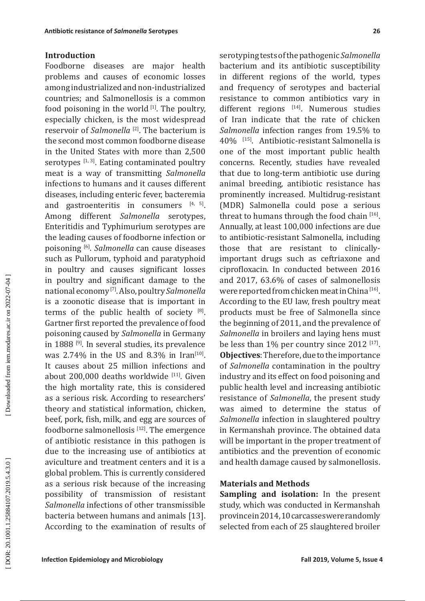## **Introduction**

Foodborne diseases are major health problems and causes of economic losses among industrialized and non-industrialized countries; and Salmonellosis is a common food poisoning in the world  $[1]$ . The poultry, especially chicken, is the most widespread reservoir of *Salmonella*<sup>[2]</sup>. The bacterium is the second most common foodborne disease in the United States with more than 2,500 serotypes  $[1, 3]$ . Eating contaminated poultry meat is a way of transmitting *Salmonella* infections to humans and it causes different diseases, including enteric fever, bacteremia and gastroenteritis in consumers  $[4, 5]$ . Among different *Salmonella* serotypes, Enteritidis and Typhimurium serotypes are the leading causes of foodborne infection or poisoning [6]. *Salmonella* can cause diseases such as Pullorum, typhoid and paratyphoid in poultry and causes significant losses in poultry and significant damage to the national economy [7]. Also, poultry *Salmonella* is a zoonotic disease that is important in terms of the public health of society  $[8]$ . Gartner first reported the prevalence of food poisoning caused by *Salmonella* in Germany in 1888<sup>[9]</sup>. In several studies, its prevalence was 2.74% in the US and 8.3% in Iran<sup>[10]</sup>. It causes about 25 million infections and about  $200,000$  deaths worldwide  $[11]$ . Given the high mortality rate, this is considered as a serious risk. According to researchers' theory and statistical information, chicken, beef, pork, fish, milk, and egg are sources of foodborne salmonellosis  $[12]$ . The emergence of antibiotic resistance in this pathogen is due to the increasing use of antibiotics at aviculture and treatment centers and it is a global problem. This is currently considered as a serious risk because of the increasing possibility of transmission of resistant *Salmonella* infections of other transmissible bacteria between humans and animals [13]. According to the examination of results of serotyping tests of the pathogenic *Salmonella* bacterium and its antibiotic susceptibility in different regions of the world, types and frequency of serotypes and bacterial resistance to common antibiotics vary in different regions [14]. Numerous studies of Iran indicate that the rate of chicken *Salmonella* infection ranges from 19.5% to 40% [15]. Antibiotic-resistant Salmonella is one of the most important public health concerns. Recently, studies have revealed that due to long-term antibiotic use during animal breeding, antibiotic resistance has prominently increased. Multidrug-resistant (MDR) Salmonella could pose a serious threat to humans through the food chain  $[16]$ . Annually, at least 100,000 infections are due to antibiotic-resistant Salmonella, including those that are resistant to clinicallyimportant drugs such as ceftriaxone and ciprofloxacin. In conducted between 2016 and 2017, 63.6% of cases of salmonellosis were reported from chicken meat in China [16]. According to the EU law, fresh poultry meat products must be free of Salmonella since the beginning of 2011, and the prevalence of *Salmonella* in broilers and laying hens must be less than 1% per country since 2012<sup>[17]</sup>. **Objectives**: Therefore, due to the importance of *Salmonella* contamination in the poultry industry and its effect on food poisoning and public health level and increasing antibiotic resistance of *Salmonella*, the present study was aimed to determine the status of *Salmonella* infection in slaughtered poultry in Kermanshah province. The obtained data will be important in the proper treatment of antibiotics and the prevention of economic and health damage caused by salmonellosis.

## **Materials and Methods**

**Sampling and isolation:** In the present study, which was conducted in Kermanshah province in 2014, 10 carcasses were randomly selected from each of 25 slaughtered broiler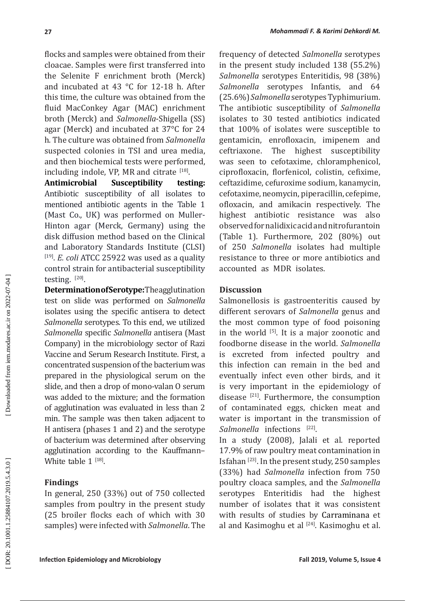flocks and samples were obtained from their cloacae. Samples were first transferred into the Selenite F enrichment broth (Merck) and incubated at 43 °C for 12-18 h. After this time, the culture was obtained from the fluid MacConkey Agar (MAC) enrichment broth (Merck) and *Salmonella*-Shigella (SS) agar (Merck) and incubated at 37°C for 24 h. The culture was obtained from *Salmonella* suspected colonies in TSI and urea media, and then biochemical tests were performed,  $\blacksquare$ including indole, VP, MR and citrate  $\mathfrak{p}^{\text{L}}$ 

**Antimicrobial Susceptibility testing:**  Antibiotic susceptibility of all isolates to mentioned antibiotic agents in the Table 1 (Mast Co., UK) was performed on Muller-Hinton agar (Merck, Germany) using the disk diffusion method based on the Clinical and Laboratory Standards Institute (CLSI) [19]. *E. coli* ATCC 25922 was used as a quality control strain for antibacterial susceptibility testing.  $^{[20]}$ .

**Determination of Serotype:** The agglutination test on slide was performed on *Salmonella* isolates using the specific antisera to detect *Salmonella* serotypes. To this end, we utilized *Salmonella* specific *Salmonella* antisera (Mast Company) in the microbiology sector of Razi Vaccine and Serum Research Institute. First, a concentrated suspension of the bacterium was prepared in the physiological serum on the slide, and then a drop of mono-valan O serum was added to the mixture; and the formation of agglutination was evaluated in less than 2 min. The sample was then taken adjacent to H antisera (phases 1 and 2) and the serotype of bacterium was determined after observing agglutination according to the Kauffmann– White table  $1$  <sup>[18]</sup>.

## **Findings**

In general, 250 (33%) out of 750 collected samples from poultry in the present study (25 broiler flocks each of which with 30 samples) were infected with *Salmonella*. The

frequency of detected *Salmonella* serotypes in the present study included 138 (55.2%) *Salmonella* serotypes Enteritidis, 98 (38%) *Salmonella* serotypes Infantis, and 64 (25.6%) *Salmonella* serotypes Typhimurium. The antibiotic susceptibility of *Salmonella* isolates to 30 tested antibiotics indicated that 100% of isolates were susceptible to gentamicin, enrofloxacin, imipenem and ceftriaxone. The highest susceptibility was seen to cefotaxime, chloramphenicol, ciprofloxacin, florfenicol, colistin, cefixime, ceftazidime, cefuroxime sodium, kanamycin, cefotaxime, neomycin, piperacillin, cefepime, ofloxacin, and amikacin respectively. The highest antibiotic resistance was also observed for nalidixic acid and nitrofurantoin (Table 1). Furthermore, 202 (80%) out of 250 *Salmonella* isolates had multiple resistance to three or more antibiotics and accounted as MDR isolates.

## **Discussion**

Salmonellosis is gastroenteritis caused by different serovars of *Salmonella* genus and the most common type of food poisoning in the world  $[5]$ . It is a major zoonotic and foodborne disease in the world. *Salmonella* is excreted from infected poultry and this infection can remain in the bed and eventually infect even other birds, and it is very important in the epidemiology of disease  $[21]$ . Furthermore, the consumption of contaminated eggs, chicken meat and water is important in the transmission of *Salmonella* infections <sup>[22]</sup>.

In a study (2008), Jalali et al. reported 17.9% of raw poultry meat contamination in Isfahan [23]. In the present study, 250 samples (33%) had *Salmonella* infection from 750 poultry cloaca samples, and the *Salmonella* serotypes Enteritidis had the highest number of isolates that it was consistent with results of studies by Carraminana et al and Kasimoghu et al <a>[24]</a>. Kasimoghu et al.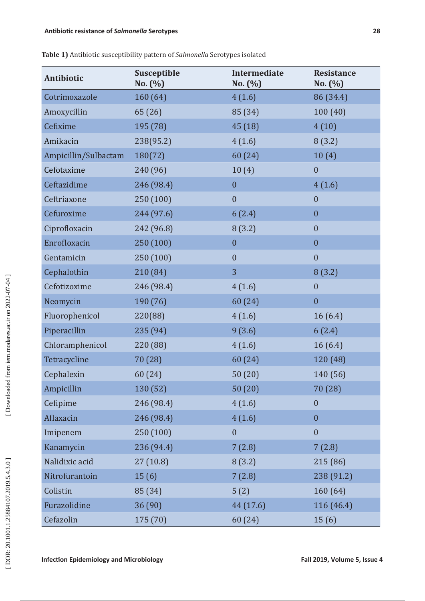| <b>Antibiotic</b>    | Susceptible<br>No. (%) | Intermediate<br>No. (%) | <b>Resistance</b><br>No. (%) |
|----------------------|------------------------|-------------------------|------------------------------|
| Cotrimoxazole        | 160(64)                | 4(1.6)                  | 86 (34.4)                    |
| Amoxycillin          | 65 (26)                | 85 (34)                 | 100(40)                      |
| Cefixime             | 195 (78)               | 45 (18)                 | 4(10)                        |
| Amikacin             | 238(95.2)              | 4(1.6)                  | 8(3.2)                       |
| Ampicillin/Sulbactam | 180(72)                | 60 (24)                 | 10(4)                        |
| Cefotaxime           | 240 (96)               | 10(4)                   | $\overline{0}$               |
| Ceftazidime          | 246 (98.4)             | $\boldsymbol{0}$        | 4(1.6)                       |
| Ceftriaxone          | 250 (100)              | $\boldsymbol{0}$        | $\mathbf{0}$                 |
| Cefuroxime           | 244 (97.6)             | 6(2.4)                  | $\boldsymbol{0}$             |
| Ciprofloxacin        | 242 (96.8)             | 8(3.2)                  | $\mathbf{0}$                 |
| Enrofloxacin         | 250 (100)              | $\boldsymbol{0}$        | $\boldsymbol{0}$             |
| Gentamicin           | 250 (100)              | $\overline{0}$          | $\mathbf{0}$                 |
| Cephalothin          | 210 (84)               | 3                       | 8(3.2)                       |
| Cefotizoxime         | 246 (98.4)             | 4(1.6)                  | $\boldsymbol{0}$             |
| Neomycin             | 190 (76)               | 60 (24)                 | $\boldsymbol{0}$             |
| Fluorophenicol       | 220(88)                | 4(1.6)                  | 16(6.4)                      |
| Piperacillin         | 235 (94)               | 9(3.6)                  | 6(2.4)                       |
| Chloramphenicol      | 220 (88)               | 4(1.6)                  | 16(6.4)                      |
| Tetracycline         | 70 (28)                | 60 (24)                 | 120 (48)                     |
| Cephalexin           | 60 (24)                | 50(20)                  | 140 (56)                     |
| Ampicillin           | 130 (52)               | 50(20)                  | 70 (28)                      |
| Cefipime             | 246 (98.4)             | 4(1.6)                  | $\boldsymbol{0}$             |
| Aflaxacin            | 246 (98.4)             | 4(1.6)                  | $\boldsymbol{0}$             |
| Imipenem             | 250 (100)              | $\boldsymbol{0}$        | $\overline{0}$               |
| Kanamycin            | 236 (94.4)             | 7(2.8)                  | 7(2.8)                       |
| Nalidixic acid       | 27(10.8)               | 8(3.2)                  | 215 (86)                     |
| Nitrofurantoin       | 15(6)                  | 7(2.8)                  | 238 (91.2)                   |
| Colistin             | 85 (34)                | 5(2)                    | 160 (64)                     |
| Furazolidine         | 36 (90)                | 44 (17.6)               | 116 (46.4)                   |
| Cefazolin            | 175 (70)               | 60 (24)                 | 15(6)                        |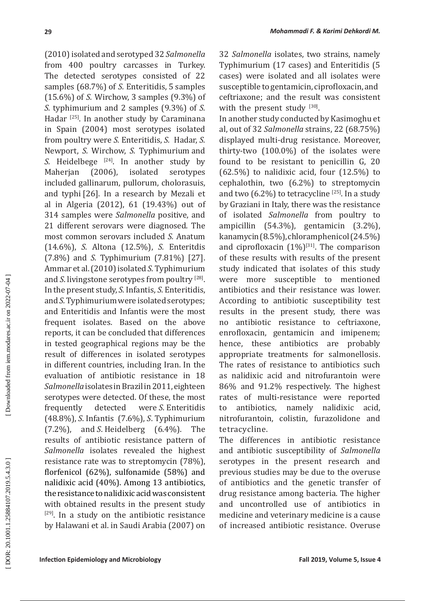(2010) isolated and serotyped 32 *Salmonella* from 400 poultry carcasses in Turkey. The detected serotypes consisted of 22 samples (68.7%) of *S.* Enteritidis, 5 samples (15.6%) of *S.* Wirchow, 3 samples (9.3%) of *S.* typhimurium and 2 samples (9.3%) of *S.* Hadar<sup>[25]</sup>. In another study by Caraminana in Spain (2004) most serotypes isolated from poultry were *S.* Enteritidis, *S.* Hadar, *S.* Newport, *S.* Wirchow, *S.* Typhimurium and *S.* Heidelbege <sup>[24]</sup>. In another study by Maherjan (2006), isolated serotypes included gallinarum, pullorum, cholorasuis, and typhi [26]. In a research by Mezali et al in Algeria (2012), 61 (19.43%) out of 314 samples were *Salmonella* positive, and 21 different serovars were diagnosed. The most common serovars included *S.* Anatum (14.6%), *S.* Altona (12.5%), *S.* Enteritdis (7.8%) and *S.* Typhimurium (7.81%) [27]. Ammar et al. (2010) isolated *S.* Typhimurium and *S*. livingstone serotypes from poultry [28]. In the present study, *S.* Infantis, *S.* Enteritidis, and *S.* Typhimurium were isolated serotypes; and Enteritidis and Infantis were the most frequent isolates. Based on the above reports, it can be concluded that differences in tested geographical regions may be the result of differences in isolated serotypes in different countries, including Iran. In the evaluation of antibiotic resistance in 18 *Salmonella* isolates in Brazil in 2011, eighteen serotypes were detected. Of these, the most frequently detected *S* . Enteritidis (48.8%), *S* . Infantis (7.6%), *S* . Typhimurium (7.2%), and *S* . Heidelberg (6.4%). The results of antibiotic resistance pattern of *Salmonella* isolates revealed the highest resistance rate was to streptomycin (78%), florfenicol (62%), sulfonamide (58%) and nalidixic acid (40%). Among 13 antibiotics, the resistance to nalidixic acid was consistent with obtained results in the present study  $[29]$ . In a study on the antibiotic resistance by Halawani et al. in Saudi Arabia (2007) on

32 *Salmonella* isolates, two strains, namely Typhimurium (17 cases) and Enteritidis (5 cases) were isolated and all isolates were susceptible to gentamicin, ciprofloxacin, and ceftriaxone; and the result was consistent with the present study [30].

In another study conducted by Kasimoghu et al, out of 32 *Salmonella* strains, 22 (68.75%) displayed multi-drug resistance. Moreover, thirty-two (100.0%) of the isolates were found to be resistant to penicillin G, 20  $(62.5\%)$  to nalidixic acid, four  $(12.5\%)$  to cephalothin, two (6.2%) to streptomycin and two  $(6.2\%)$  to tetracycline  $^{[25]}$ . In a study by Graziani in Italy, there was the resistance of isolated *Salmonella* from poultry to ampicillin (54.3%), gentamicin (3.2%), kanamycin (8.5%), chloramphenicol (24.5%) and ciprofloxacin  $(1\%)^{[31]}$ . The comparison of these results with results of the present study indicated that isolates of this study were more susceptible to mentioned antibiotics and their resistance was lower. According to antibiotic susceptibility test results in the present study, there was no antibiotic resistance to ceftriaxone, enrofloxacin, gentamicin and imipenem; hence, these antibiotics are probably appropriate treatments for salmonellosis. The rates of resistance to antibiotics such as nalidixic acid and nitrofurantoin were 86% and 91.2% respectively. The highest rates of multi-resistance were reported to antibiotics, namely nalidixic acid, nitrofurantoin, colistin, furazolidone and tetracycline.

The differences in antibiotic resistance and antibiotic susceptibility of *Salmonella*  serotypes in the present research and previous studies may be due to the overuse of antibiotics and the genetic transfer of drug resistance among bacteria. The higher and uncontrolled use of antibiotics in medicine and veterinary medicine is a cause of increased antibiotic resistance. Overuse

Downloaded from iem.modares.ac.ir on 2022-07-04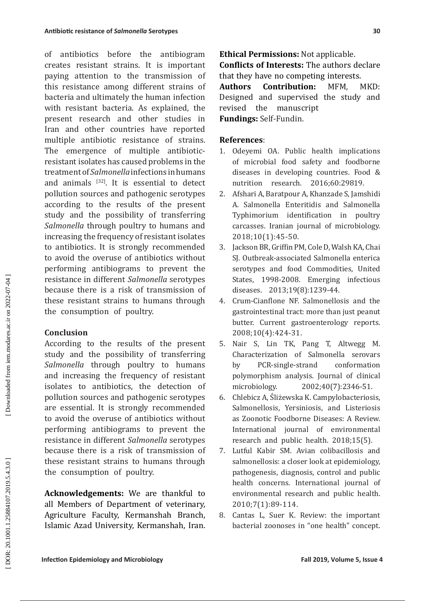of antibiotics before the antibiogram creates resistant strains. It is important paying attention to the transmission of this resistance among different strains of bacteria and ultimately the human infection with resistant bacteria. As explained, the present research and other studies in Iran and other countries have reported multiple antibiotic resistance of strains. The emergence of multiple antibioticresistant isolates has caused problems in the treatment of *Salmonella* infections in humans and animals  $[32]$ . It is essential to detect pollution sources and pathogenic serotypes according to the results of the present study and the possibility of transferring *Salmonella* through poultry to humans and increasing the frequency of resistant isolates to antibiotics. It is strongly recommended to avoid the overuse of antibiotics without performing antibiograms to prevent the resistance in different *Salmonella* serotypes because there is a risk of transmission of these resistant strains to humans through the consumption of poultry.

## **Conclusion**

According to the results of the present study and the possibility of transferring *Salmonella* through poultry to humans and increasing the frequency of resistant isolates to antibiotics, the detection of pollution sources and pathogenic serotypes are essential. It is strongly recommended to avoid the overuse of antibiotics without performing antibiograms to prevent the resistance in different *Salmonella* serotypes because there is a risk of transmission of these resistant strains to humans through the consumption of poultry.

**Acknowledgements:** We are thankful to all Members of Department of veterinary, Agriculture Faculty, Kermanshah Branch, Islamic Azad University, Kermanshah, Iran. **Ethical Permissions:** Not applicable. **Conflicts of Interests:** The authors declare that they have no competing interests.

**Authors Contribution:** MFM, MKD: Designed and supervised the study and revised the manuscript **Fundings:** Self-Fundin.

# **References** :

- 1. Odeyemi OA. Public health implications of microbial food safety and foodborne diseases in developing countries. Food & nutrition research. 2016;60:29819.
- 2. Afshari A, Baratpour A, Khanzade S, Jamshidi A. Salmonella Enteritidis and Salmonella Typhimorium identification in poultry carcasses. Iranian journal of microbiology. 2018;10(1):45-50.
- 3. Jackson BR, Griffin PM, Cole D, Walsh KA, Chai SJ. Outbreak-associated Salmonella enterica serotypes and food Commodities, United States, 1998-2008. Emerging infectious diseases. 2013;19(8):1239-44.
- 4. Crum-Cianflone NF. Salmonellosis and the gastrointestinal tract: more than just peanut butter. Current gastroenterology reports. 2008;10(4):424-31.
- 5. Nair S, Lin TK, Pang T, Altwegg M. Characterization of Salmonella serovars by PCR-single-strand conformation polymorphism analysis. Journal of clinical microbiology. 2002;40(7):2346-51.
- 6. Chlebicz A, Sliżewska K. Campylobacteriosis, Salmonellosis, Yersiniosis, and Listeriosis as Zoonotic Foodborne Diseases: A Review. International journal of environmental research and public health. 2018;15(5).
- 7. Lutful Kabir SM. Avian colibacillosis and salmonellosis: a closer look at epidemiology, pathogenesis, diagnosis, control and public health concerns. International journal of environmental research and public health. 2010;7(1):89-114.
- 8. Cantas L, Suer K. Review: the important bacterial zoonoses in "one health" concept.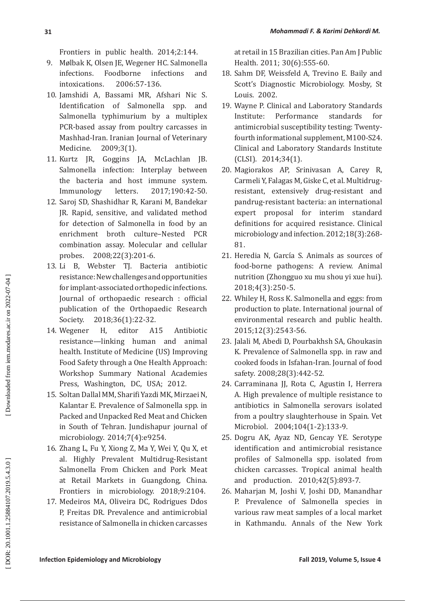Frontiers in public health. 2014;2:144.

- 9. Mølbak K, Olsen JE, Wegener HC. Salmonella infections. Foodborne infections and intoxications. 2006:57-136.
- 10. Jamshidi A, Bassami MR, Afshari Nic S. Identification of Salmonella spp. and Salmonella typhimurium by a multiplex PCR-based assay from poultry carcasses in Mashhad-Iran. Iranian Journal of Veterinary Medicine. 2009;3(1).
- 11. Kurtz JR, Goggins JA, McLachlan JB. Salmonella infection: Interplay between the bacteria and host immune system. Immunology letters. 2017;190:42-50.
- 12. Saroj SD, Shashidhar R, Karani M, Bandekar JR. Rapid, sensitive, and validated method for detection of Salmonella in food by an enrichment broth culture–Nested PCR combination assay. Molecular and cellular probes. 2008;22(3):201-6.
- 13. Li B, Webster TJ. Bacteria antibiotic resistance: New challenges and opportunities for implant-associated orthopedic infections. Journal of orthopaedic research : official publication of the Orthopaedic Research Society. 2018;36(1):22-32.
- 14. Wegener H, editor A15 Antibiotic resistance—linking human and animal health. Institute of Medicine (US) Improving Food Safety through a One Health Approach: Workshop Summary National Academies Press, Washington, DC, USA; 2012.
- 15. Soltan Dallal MM, Sharifi Yazdi MK, Mirzaei N, Kalantar E. Prevalence of Salmonella spp. in Packed and Unpacked Red Meat and Chicken in South of Tehran. Jundishapur journal of microbiology. 2014;7(4):e9254.
- 16. Zhang L, Fu Y, Xiong Z, Ma Y, Wei Y, Qu X, et al. Highly Prevalent Multidrug-Resistant Salmonella From Chicken and Pork Meat at Retail Markets in Guangdong, China. Frontiers in microbiology. 2018;9:2104.
- 17. Medeiros MA, Oliveira DC, Rodrigues Ddos P, Freitas DR. Prevalence and antimicrobial resistance of Salmonella in chicken carcasses

at retail in 15 Brazilian cities. Pan Am J Public Health. 2011; 30(6):555-60.

- 18. Sahm DF, Weissfeld A, Trevino E. Baily and Scott's Diagnostic Microbiology. Mosby, St Louis. 2002.
- 19. Wayne P. Clinical and Laboratory Standards Institute: Performance standards for antimicrobial susceptibility testing: Twentyfourth informational supplement, M100-S24. Clinical and Laboratory Standards Institute (CLSI). 2014;34(1).
- 20. Magiorakos AP, Srinivasan A, Carey R, Carmeli Y, Falagas M, Giske C, et al. Multidrug resistant, extensively drug ‐resistant and pandrug -resistant bacteria: an international expert proposal for interim standard definitions for acquired resistance. Clinical microbiology and infection. 2012;18(3):268- 81.
- 21. Heredia N. García S. Animals as sources of food-borne pathogens: A review. Animal nutrition (Zhongguo xu mu shou yi xue hui). 2018;4(3):250-5.
- 22. Whiley H, Ross K. Salmonella and eggs: from production to plate. International journal of environmental research and public health. 2015;12(3):2543-56.
- 23. Jalali M, Abedi D, Pourbakhsh SA, Ghoukasin K. Prevalence of Salmonella spp. in raw and cooked foods in Isfahan -Iran. Journal of food safety. 2008;28(3):442-52.
- 24. Carraminana JJ, Rota C, Agustin I, Herrera A. High prevalence of multiple resistance to antibiotics in Salmonella serovars isolated from a poultry slaughterhouse in Spain. Vet Microbiol. 2004;104(1-2):133-9.
- 25. Dogru AK, Ayaz ND, Gencay YE. Serotype identification and antimicrobial resistance profiles of Salmonella spp. isolated from chicken carcasses. Tropical animal health and production. 2010;42(5):893-7.
- 26. Maharjan M, Joshi V, Joshi DD, Manandhar P. Prevalence of Salmonella species in various raw meat samples of a local market in Kathmandu. Annals of the New York